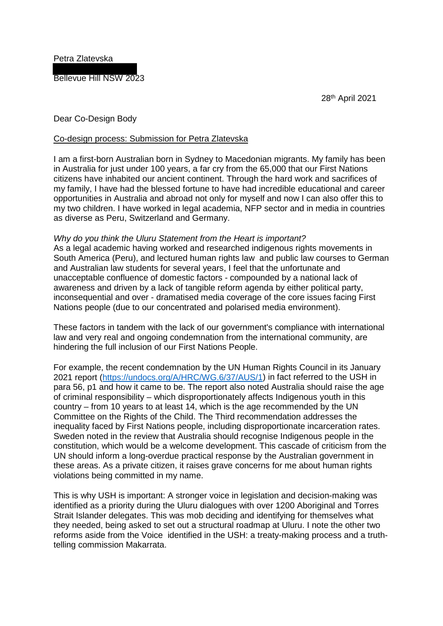Petra Zlatevska

Bellevue Hill NSW 2023

28th April 2021

## Dear Co-Design Body

## Co-design process: Submission for Petra Zlatevska

I am a first-born Australian born in Sydney to Macedonian migrants. My family has been in Australia for just under 100 years, a far cry from the 65,000 that our First Nations citizens have inhabited our ancient continent. Through the hard work and sacrifices of my family, I have had the blessed fortune to have had incredible educational and career opportunities in Australia and abroad not only for myself and now I can also offer this to my two children. I have worked in legal academia, NFP sector and in media in countries as diverse as Peru, Switzerland and Germany.

## *Why do you think the Uluru Statement from the Heart is important?*

As a legal academic having worked and researched indigenous rights movements in South America (Peru), and lectured human rights law and public law courses to German and Australian law students for several years, I feel that the unfortunate and unacceptable confluence of domestic factors - compounded by a national lack of awareness and driven by a lack of tangible reform agenda by either political party, inconsequential and over - dramatised media coverage of the core issues facing First Nations people (due to our concentrated and polarised media environment).

These factors in tandem with the lack of our government's compliance with international law and very real and ongoing condemnation from the international community, are hindering the full inclusion of our First Nations People.

For example, the recent condemnation by the UN Human Rights Council in its January 2021 report [\(https://undocs.org/A/HRC/WG.6/37/AUS/1\)](https://undocs.org/A/HRC/WG.6/37/AUS/1) in fact referred to the USH in para 56, p1 and how it came to be. The report also noted Australia should raise the age of criminal responsibility – which disproportionately affects Indigenous youth in this country – from 10 years to at least 14, which is the age recommended by the UN Committee on the Rights of the Child. The Third recommendation addresses the inequality faced by First Nations people, including disproportionate incarceration rates. Sweden noted in the review that Australia should recognise Indigenous people in the constitution, which would be a welcome development. This cascade of criticism from the UN should inform a long-overdue practical response by the Australian government in these areas. As a private citizen, it raises grave concerns for me about human rights violations being committed in my name.

This is why USH is important: A stronger voice in legislation and decision-making was identified as a priority during the Uluru dialogues with over 1200 Aboriginal and Torres Strait Islander delegates. This was mob deciding and identifying for themselves what they needed, being asked to set out a structural roadmap at Uluru. I note the other two reforms aside from the Voice identified in the USH: a treaty-making process and a truthtelling commission Makarrata.